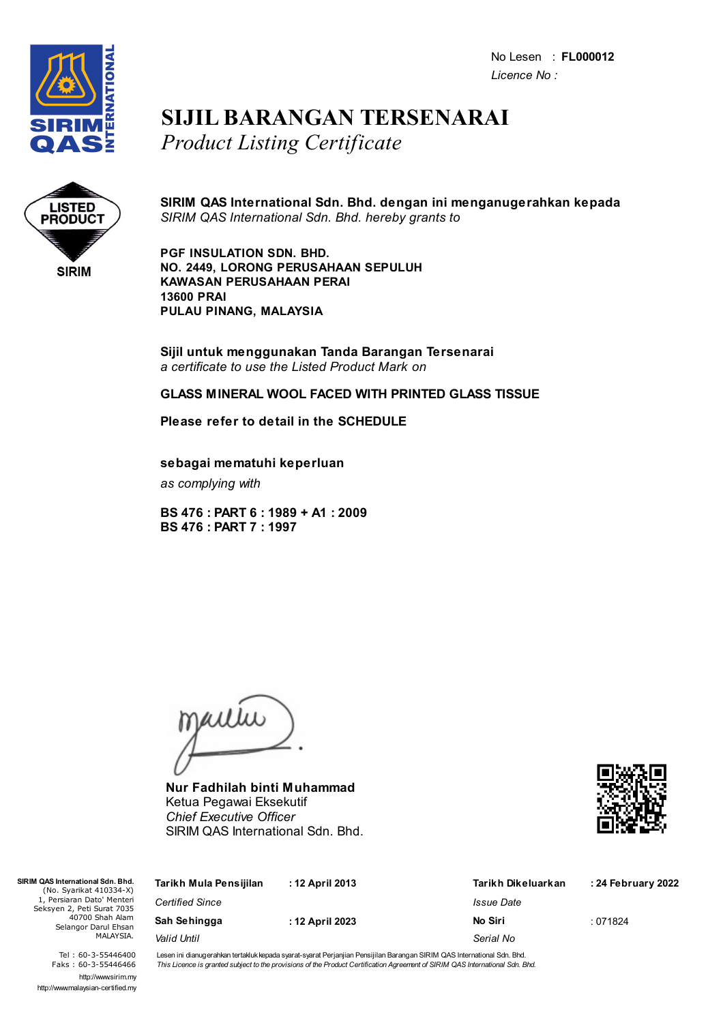No Lesen : **FL000012** *Licence No :*



## **SIJIL BARANGAN TERSENARAI** *Product Listing Certificate*



**SIRIM QAS International Sdn. Bhd. dengan ini menganugerahkan kepada** *SIRIM QAS International Sdn. Bhd. hereby grants to*

**PGF INSULATION SDN. BHD. NO. 2449, LORONG PERUSAHAAN SEPULUH KAWASAN PERUSAHAAN PERAI 13600 PRAI PULAU PINANG, MALAYSIA**

**Sijil untuk menggunakan Tanda Barangan Tersenarai** *a certificate to use the Listed Product Mark on*

## **GLASS MINERAL WOOL FACED WITH PRINTED GLASS TISSUE**

**Please refer to detail in the SCHEDULE**

**sebagai mematuhi keperluan**

*as complying with*

**BS 476 : PART 6 : 1989 + A1 : 2009 BS 476 : PART 7 : 1997**

jailie

**Nur Fadhilah binti Muhammad** Ketua Pegawai Eksekutif *Chief Executive Officer* SIRIM QAS International Sdn. Bhd.



| QAS International Sdn. Bhd.<br>(No. Syarikat 410334-X)<br>1, Persiaran Dato' Menteri<br>eksyen 2, Peti Surat 7035<br>40700 Shah Alam<br>Selangor Darul Ehsan<br>MALAYSIA. | Tarikh Mula Pensijilan | : 12 April 2013 | Tarikh Dikeluarkan | : 24 February 2022 |
|---------------------------------------------------------------------------------------------------------------------------------------------------------------------------|------------------------|-----------------|--------------------|--------------------|
|                                                                                                                                                                           | <b>Certified Since</b> |                 | <i>Issue Date</i>  |                    |
|                                                                                                                                                                           | Sah Sehingga           | : 12 April 2023 | No Siri            | :071824            |
|                                                                                                                                                                           | Valid Until            |                 | Serial No          |                    |

Tel : 60-3-55446400 Faks : 60-3-55446466 http://www.sirim.my http://www.malaysian-certified.my

 $SIRIMO4$ 

Seks<sup>1</sup>

Lesen ini dianugerahkan tertakluk kepada syarat-syarat Perjanjian Pensijilan Barangan SIRIM QAS International Sdn. Bhd. This Licence is granted subject to the provisions of the Product Certification Agreement of SIRIM QAS International Sdn. Bhd.